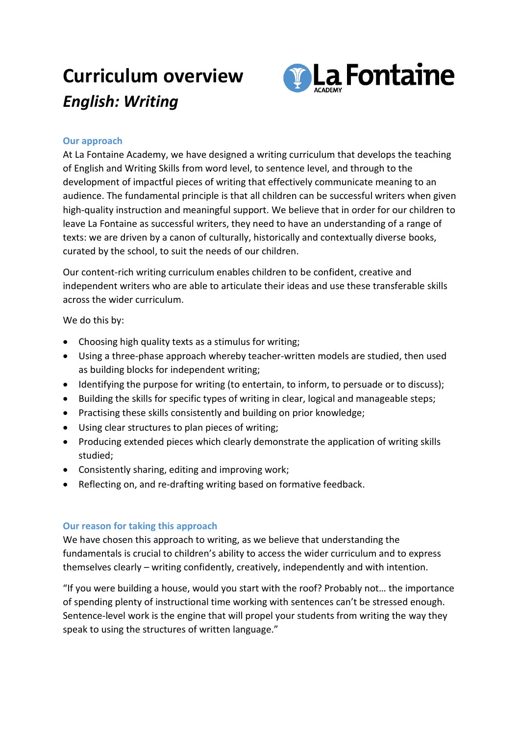## **Curriculum overview** *English: Writing*



## **Our approach**

At La Fontaine Academy, we have designed a writing curriculum that develops the teaching of English and Writing Skills from word level, to sentence level, and through to the development of impactful pieces of writing that effectively communicate meaning to an audience. The fundamental principle is that all children can be successful writers when given high-quality instruction and meaningful support. We believe that in order for our children to leave La Fontaine as successful writers, they need to have an understanding of a range of texts: we are driven by a canon of culturally, historically and contextually diverse books, curated by the school, to suit the needs of our children.

Our content-rich writing curriculum enables children to be confident, creative and independent writers who are able to articulate their ideas and use these transferable skills across the wider curriculum.

We do this by:

- Choosing high quality texts as a stimulus for writing;
- Using a three-phase approach whereby teacher-written models are studied, then used as building blocks for independent writing;
- Identifying the purpose for writing (to entertain, to inform, to persuade or to discuss);
- Building the skills for specific types of writing in clear, logical and manageable steps;
- Practising these skills consistently and building on prior knowledge;
- Using clear structures to plan pieces of writing;
- Producing extended pieces which clearly demonstrate the application of writing skills studied;
- Consistently sharing, editing and improving work;
- Reflecting on, and re-drafting writing based on formative feedback.

## **Our reason for taking this approach**

We have chosen this approach to writing, as we believe that understanding the fundamentals is crucial to children's ability to access the wider curriculum and to express themselves clearly – writing confidently, creatively, independently and with intention.

"If you were building a house, would you start with the roof? Probably not… the importance of spending plenty of instructional time working with sentences can't be stressed enough. Sentence-level work is the engine that will propel your students from writing the way they speak to using the structures of written language."